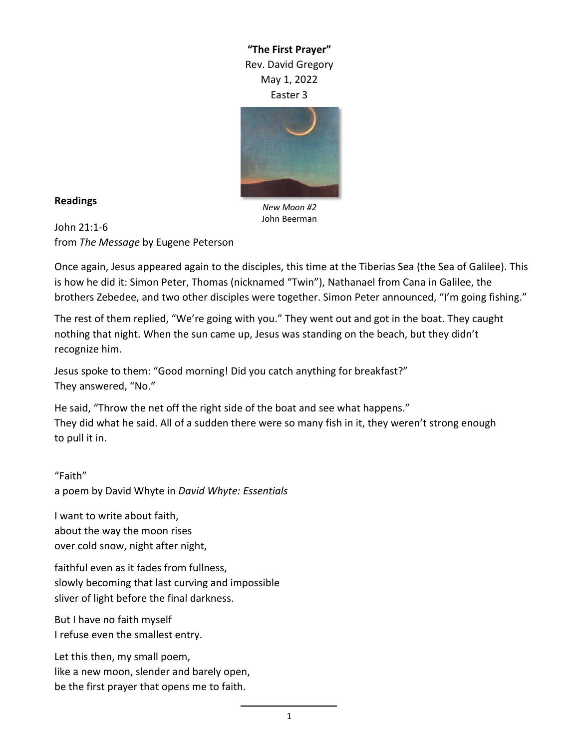**"The First Prayer"** Rev. David Gregory May 1, 2022 Easter 3



## **Readings**

*New Moon #2* John Beerman

John 21:1-6 from *The Message* by Eugene Peterson

Once again, Jesus appeared again to the disciples, this time at the Tiberias Sea (the Sea of Galilee). This is how he did it: Simon Peter, Thomas (nicknamed "Twin"), Nathanael from Cana in Galilee, the brothers Zebedee, and two other disciples were together. Simon Peter announced, "I'm going fishing."

The rest of them replied, "We're going with you." They went out and got in the boat. They caught nothing that night. When the sun came up, Jesus was standing on the beach, but they didn't recognize him.

Jesus spoke to them: "Good morning! Did you catch anything for breakfast?" They answered, "No."

He said, "Throw the net off the right side of the boat and see what happens." They did what he said. All of a sudden there were so many fish in it, they weren't strong enough to pull it in.

"Faith" a poem by David Whyte in *David Whyte: Essentials*

I want to write about faith, about the way the moon rises over cold snow, night after night,

faithful even as it fades from fullness, slowly becoming that last curving and impossible sliver of light before the final darkness.

But I have no faith myself I refuse even the smallest entry.

Let this then, my small poem, like a new moon, slender and barely open, be the first prayer that opens me to faith.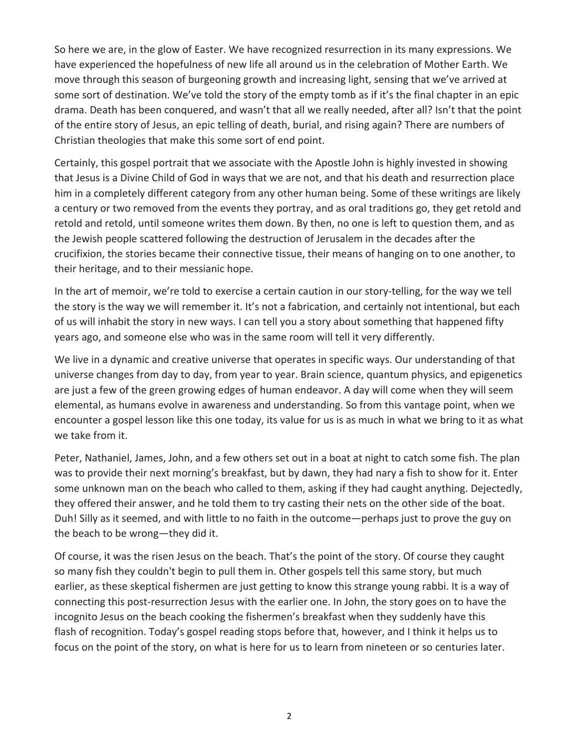So here we are, in the glow of Easter. We have recognized resurrection in its many expressions. We have experienced the hopefulness of new life all around us in the celebration of Mother Earth. We move through this season of burgeoning growth and increasing light, sensing that we've arrived at some sort of destination. We've told the story of the empty tomb as if it's the final chapter in an epic drama. Death has been conquered, and wasn't that all we really needed, after all? Isn't that the point of the entire story of Jesus, an epic telling of death, burial, and rising again? There are numbers of Christian theologies that make this some sort of end point.

Certainly, this gospel portrait that we associate with the Apostle John is highly invested in showing that Jesus is a Divine Child of God in ways that we are not, and that his death and resurrection place him in a completely different category from any other human being. Some of these writings are likely a century or two removed from the events they portray, and as oral traditions go, they get retold and retold and retold, until someone writes them down. By then, no one is left to question them, and as the Jewish people scattered following the destruction of Jerusalem in the decades after the crucifixion, the stories became their connective tissue, their means of hanging on to one another, to their heritage, and to their messianic hope.

In the art of memoir, we're told to exercise a certain caution in our story-telling, for the way we tell the story is the way we will remember it. It's not a fabrication, and certainly not intentional, but each of us will inhabit the story in new ways. I can tell you a story about something that happened fifty years ago, and someone else who was in the same room will tell it very differently.

We live in a dynamic and creative universe that operates in specific ways. Our understanding of that universe changes from day to day, from year to year. Brain science, quantum physics, and epigenetics are just a few of the green growing edges of human endeavor. A day will come when they will seem elemental, as humans evolve in awareness and understanding. So from this vantage point, when we encounter a gospel lesson like this one today, its value for us is as much in what we bring to it as what we take from it.

Peter, Nathaniel, James, John, and a few others set out in a boat at night to catch some fish. The plan was to provide their next morning's breakfast, but by dawn, they had nary a fish to show for it. Enter some unknown man on the beach who called to them, asking if they had caught anything. Dejectedly, they offered their answer, and he told them to try casting their nets on the other side of the boat. Duh! Silly as it seemed, and with little to no faith in the outcome—perhaps just to prove the guy on the beach to be wrong—they did it.

Of course, it was the risen Jesus on the beach. That's the point of the story. Of course they caught so many fish they couldn't begin to pull them in. Other gospels tell this same story, but much earlier, as these skeptical fishermen are just getting to know this strange young rabbi. It is a way of connecting this post-resurrection Jesus with the earlier one. In John, the story goes on to have the incognito Jesus on the beach cooking the fishermen's breakfast when they suddenly have this flash of recognition. Today's gospel reading stops before that, however, and I think it helps us to focus on the point of the story, on what is here for us to learn from nineteen or so centuries later.